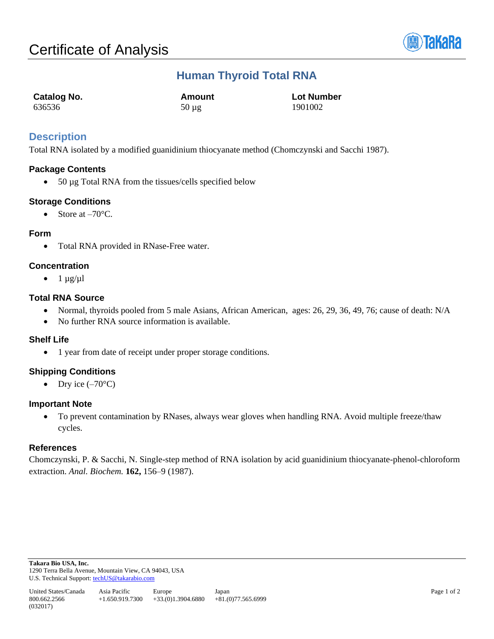

# **Human Thyroid Total RNA**

| <b>Catalog No.</b> | Amount     | <b>Lot Number</b> |
|--------------------|------------|-------------------|
| 636536             | $50 \mu g$ | 1901002           |

## **Description**

Total RNA isolated by a modified guanidinium thiocyanate method (Chomczynski and Sacchi 1987).

## **Package Contents**

• 50 µg Total RNA from the tissues/cells specified below

## **Storage Conditions**

• Store at  $-70^{\circ}$ C.

## **Form**

• Total RNA provided in RNase-Free water.

## **Concentration**

 $\bullet$  1  $\mu$ g/ $\mu$ l

## **Total RNA Source**

- Normal, thyroids pooled from 5 male Asians, African American, ages: 26, 29, 36, 49, 76; cause of death: N/A
- No further RNA source information is available.

#### **Shelf Life**

• 1 year from date of receipt under proper storage conditions.

#### **Shipping Conditions**

• Dry ice  $(-70^{\circ}C)$ 

#### **Important Note**

• To prevent contamination by RNases, always wear gloves when handling RNA. Avoid multiple freeze/thaw cycles.

#### **References**

Chomczynski, P. & Sacchi, N. Single-step method of RNA isolation by acid guanidinium thiocyanate-phenol-chloroform extraction. *Anal. Biochem.* **162,** 156–9 (1987).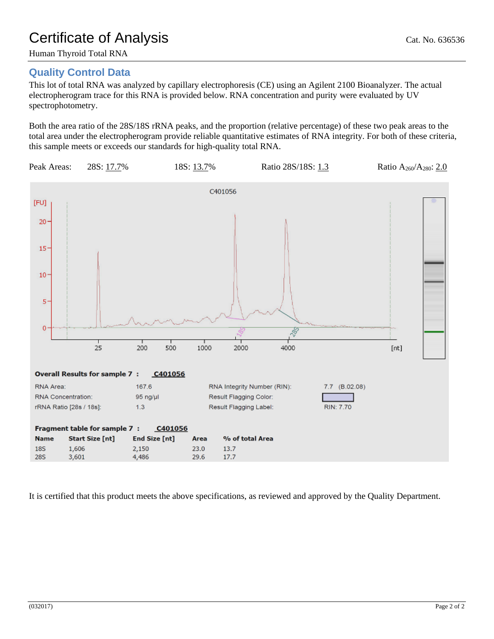## **Quality Control Data**

This lot of total RNA was analyzed by capillary electrophoresis (CE) using an Agilent 2100 Bioanalyzer. The actual electropherogram trace for this RNA is provided below. RNA concentration and purity were evaluated by UV spectrophotometry.

Both the area ratio of the 28S/18S rRNA peaks, and the proportion (relative percentage) of these two peak areas to the total area under the electropherogram provide reliable quantitative estimates of RNA integrity. For both of these criteria, this sample meets or exceeds our standards for high-quality total RNA.



It is certified that this product meets the above specifications, as reviewed and approved by the Quality Department.